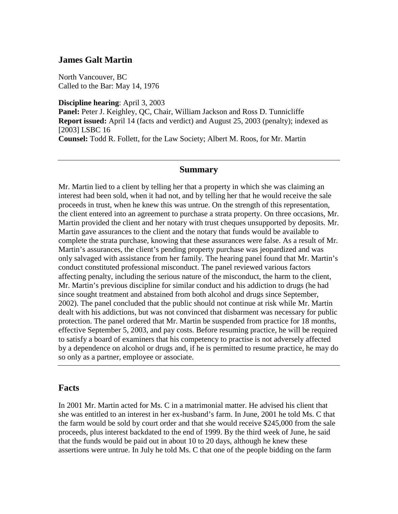### **James Galt Martin**

North Vancouver, BC Called to the Bar: May 14, 1976

**Discipline hearing**: April 3, 2003 **Panel:** Peter J. Keighley, QC, Chair, William Jackson and Ross D. Tunnicliffe **Report issued:** April 14 (facts and verdict) and August 25, 2003 (penalty); indexed as [2003] LSBC 16 **Counsel:** Todd R. Follett, for the Law Society; Albert M. Roos, for Mr. Martin

#### **Summary**

Mr. Martin lied to a client by telling her that a property in which she was claiming an interest had been sold, when it had not, and by telling her that he would receive the sale proceeds in trust, when he knew this was untrue. On the strength of this representation, the client entered into an agreement to purchase a strata property. On three occasions, Mr. Martin provided the client and her notary with trust cheques unsupported by deposits. Mr. Martin gave assurances to the client and the notary that funds would be available to complete the strata purchase, knowing that these assurances were false. As a result of Mr. Martin's assurances, the client's pending property purchase was jeopardized and was only salvaged with assistance from her family. The hearing panel found that Mr. Martin's conduct constituted professional misconduct. The panel reviewed various factors affecting penalty, including the serious nature of the misconduct, the harm to the client, Mr. Martin's previous discipline for similar conduct and his addiction to drugs (he had since sought treatment and abstained from both alcohol and drugs since September, 2002). The panel concluded that the public should not continue at risk while Mr. Martin dealt with his addictions, but was not convinced that disbarment was necessary for public protection. The panel ordered that Mr. Martin be suspended from practice for 18 months, effective September 5, 2003, and pay costs. Before resuming practice, he will be required to satisfy a board of examiners that his competency to practise is not adversely affected by a dependence on alcohol or drugs and, if he is permitted to resume practice, he may do so only as a partner, employee or associate.

### **Facts**

In 2001 Mr. Martin acted for Ms. C in a matrimonial matter. He advised his client that she was entitled to an interest in her ex-husband's farm. In June, 2001 he told Ms. C that the farm would be sold by court order and that she would receive \$245,000 from the sale proceeds, plus interest backdated to the end of 1999. By the third week of June, he said that the funds would be paid out in about 10 to 20 days, although he knew these assertions were untrue. In July he told Ms. C that one of the people bidding on the farm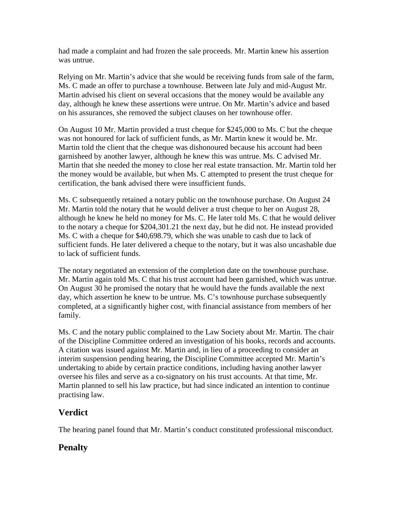had made a complaint and had frozen the sale proceeds. Mr. Martin knew his assertion was untrue.

Relying on Mr. Martin's advice that she would be receiving funds from sale of the farm, Ms. C made an offer to purchase a townhouse. Between late July and mid-August Mr. Martin advised his client on several occasions that the money would be available any day, although he knew these assertions were untrue. On Mr. Martin's advice and based on his assurances, she removed the subject clauses on her townhouse offer.

On August 10 Mr. Martin provided a trust cheque for \$245,000 to Ms. C but the cheque was not honoured for lack of sufficient funds, as Mr. Martin knew it would be. Mr. Martin told the client that the cheque was dishonoured because his account had been garnisheed by another lawyer, although he knew this was untrue. Ms. C advised Mr. Martin that she needed the money to close her real estate transaction. Mr. Martin told her the money would be available, but when Ms. C attempted to present the trust cheque for certification, the bank advised there were insufficient funds.

Ms. C subsequently retained a notary public on the townhouse purchase. On August 24 Mr. Martin told the notary that he would deliver a trust cheque to her on August 28, although he knew he held no money for Ms. C. He later told Ms. C that he would deliver to the notary a cheque for \$204,301.21 the next day, but he did not. He instead provided Ms. C with a cheque for \$40,698.79, which she was unable to cash due to lack of sufficient funds. He later delivered a cheque to the notary, but it was also uncashable due to lack of sufficient funds.

The notary negotiated an extension of the completion date on the townhouse purchase. Mr. Martin again told Ms. C that his trust account had been garnished, which was untrue. On August 30 he promised the notary that he would have the funds available the next day, which assertion he knew to be untrue. Ms. C's townhouse purchase subsequently completed, at a significantly higher cost, with financial assistance from members of her family.

Ms. C and the notary public complained to the Law Society about Mr. Martin. The chair of the Discipline Committee ordered an investigation of his books, records and accounts. A citation was issued against Mr. Martin and, in lieu of a proceeding to consider an interim suspension pending hearing, the Discipline Committee accepted Mr. Martin's undertaking to abide by certain practice conditions, including having another lawyer oversee his files and serve as a co-signatory on his trust accounts. At that time, Mr. Martin planned to sell his law practice, but had since indicated an intention to continue practising law.

# **Verdict**

The hearing panel found that Mr. Martin's conduct constituted professional misconduct.

# **Penalty**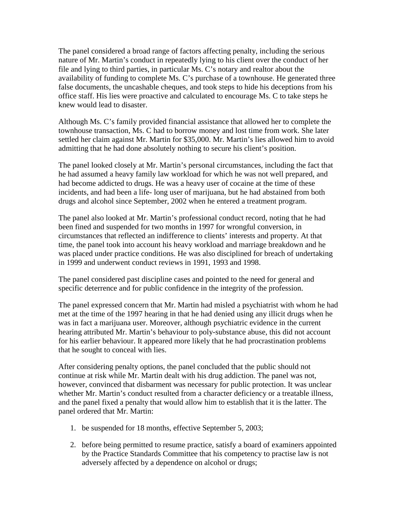The panel considered a broad range of factors affecting penalty, including the serious nature of Mr. Martin's conduct in repeatedly lying to his client over the conduct of her file and lying to third parties, in particular Ms. C's notary and realtor about the availability of funding to complete Ms. C's purchase of a townhouse. He generated three false documents, the uncashable cheques, and took steps to hide his deceptions from his office staff. His lies were proactive and calculated to encourage Ms. C to take steps he knew would lead to disaster.

Although Ms. C's family provided financial assistance that allowed her to complete the townhouse transaction, Ms. C had to borrow money and lost time from work. She later settled her claim against Mr. Martin for \$35,000. Mr. Martin's lies allowed him to avoid admitting that he had done absolutely nothing to secure his client's position.

The panel looked closely at Mr. Martin's personal circumstances, including the fact that he had assumed a heavy family law workload for which he was not well prepared, and had become addicted to drugs. He was a heavy user of cocaine at the time of these incidents, and had been a life- long user of marijuana, but he had abstained from both drugs and alcohol since September, 2002 when he entered a treatment program.

The panel also looked at Mr. Martin's professional conduct record, noting that he had been fined and suspended for two months in 1997 for wrongful conversion, in circumstances that reflected an indifference to clients' interests and property. At that time, the panel took into account his heavy workload and marriage breakdown and he was placed under practice conditions. He was also disciplined for breach of undertaking in 1999 and underwent conduct reviews in 1991, 1993 and 1998.

The panel considered past discipline cases and pointed to the need for general and specific deterrence and for public confidence in the integrity of the profession.

The panel expressed concern that Mr. Martin had misled a psychiatrist with whom he had met at the time of the 1997 hearing in that he had denied using any illicit drugs when he was in fact a marijuana user. Moreover, although psychiatric evidence in the current hearing attributed Mr. Martin's behaviour to poly-substance abuse, this did not account for his earlier behaviour. It appeared more likely that he had procrastination problems that he sought to conceal with lies.

After considering penalty options, the panel concluded that the public should not continue at risk while Mr. Martin dealt with his drug addiction. The panel was not, however, convinced that disbarment was necessary for public protection. It was unclear whether Mr. Martin's conduct resulted from a character deficiency or a treatable illness, and the panel fixed a penalty that would allow him to establish that it is the latter. The panel ordered that Mr. Martin:

- 1. be suspended for 18 months, effective September 5, 2003;
- 2. before being permitted to resume practice, satisfy a board of examiners appointed by the Practice Standards Committee that his competency to practise law is not adversely affected by a dependence on alcohol or drugs;